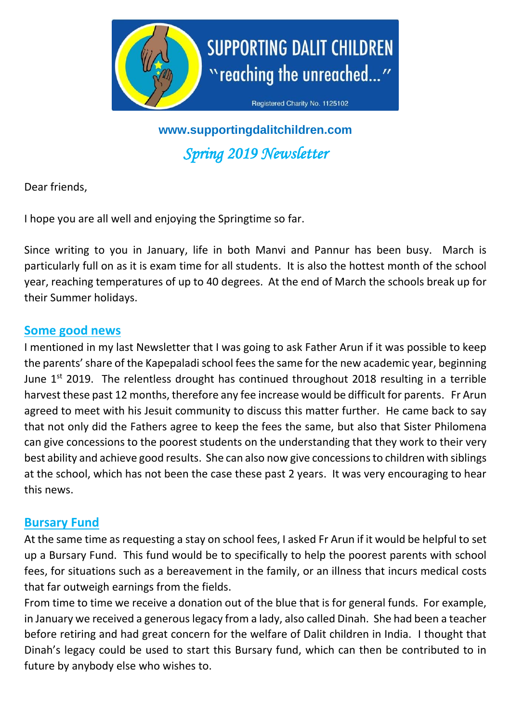

**www.supportingdalitchildren.com** *Spring 2019 Newsletter* 

Dear friends,

I hope you are all well and enjoying the Springtime so far.

Since writing to you in January, life in both Manvi and Pannur has been busy. March is particularly full on as it is exam time for all students. It is also the hottest month of the school year, reaching temperatures of up to 40 degrees. At the end of March the schools break up for their Summer holidays.

#### **Some good news**

I mentioned in my last Newsletter that I was going to ask Father Arun if it was possible to keep the parents' share of the Kapepaladi school fees the same for the new academic year, beginning June  $1^{st}$  2019. The relentless drought has continued throughout 2018 resulting in a terrible harvest these past 12 months, therefore any fee increase would be difficult for parents. Fr Arun agreed to meet with his Jesuit community to discuss this matter further. He came back to say that not only did the Fathers agree to keep the fees the same, but also that Sister Philomena can give concessions to the poorest students on the understanding that they work to their very best ability and achieve good results. She can also now give concessions to children with siblings at the school, which has not been the case these past 2 years. It was very encouraging to hear this news.

### **Bursary Fund**

At the same time as requesting a stay on school fees, I asked Fr Arun if it would be helpful to set up a Bursary Fund. This fund would be to specifically to help the poorest parents with school fees, for situations such as a bereavement in the family, or an illness that incurs medical costs that far outweigh earnings from the fields.

From time to time we receive a donation out of the blue that is for general funds. For example, in January we received a generous legacy from a lady, also called Dinah. She had been a teacher before retiring and had great concern for the welfare of Dalit children in India. I thought that Dinah's legacy could be used to start this Bursary fund, which can then be contributed to in future by anybody else who wishes to.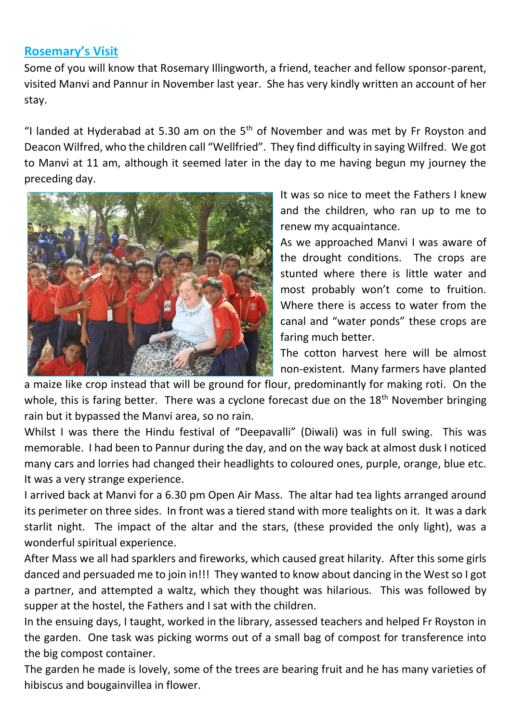# **Rosemary's Visit**

Some of you will know that Rosemary Illingworth, a friend, teacher and fellow sponsor-parent, visited Manvi and Pannur in November last year. She has very kindly written an account of her stay.

"I landed at Hyderabad at 5.30 am on the  $5<sup>th</sup>$  of November and was met by Fr Royston and Deacon Wilfred, who the children call "Wellfried". They find difficulty in saying Wilfred. We got to Manvi at 11 am, although it seemed later in the day to me having begun my journey the preceding day.



It was so nice to meet the Fathers I knew and the children, who ran up to me to renew my acquaintance.

As we approached Manvi I was aware of the drought conditions. The crops are stunted where there is little water and most probably won't come to fruition. Where there is access to water from the canal and "water ponds" these crops are faring much better.

The cotton harvest here will be almost non-existent. Many farmers have planted

a maize like crop instead that will be ground for flour, predominantly for making roti. On the whole, this is faring better. There was a cyclone forecast due on the  $18<sup>th</sup>$  November bringing rain but it bypassed the Manvi area, so no rain.

Whilst I was there the Hindu festival of "Deepavalli" (Diwali) was in full swing. This was memorable. I had been to Pannur during the day, and on the way back at almost dusk I noticed many cars and lorries had changed their headlights to coloured ones, purple, orange, blue etc. It was a very strange experience.

I arrived back at Manvi for a 6.30 pm Open Air Mass. The altar had tea lights arranged around its perimeter on three sides. In front was a tiered stand with more tealights on it. It was a dark starlit night. The impact of the altar and the stars, (these provided the only light), was a wonderful spiritual experience.

After Mass we all had sparklers and fireworks, which caused great hilarity. After this some girls danced and persuaded me to join in!!! They wanted to know about dancing in the West so I got a partner, and attempted a waltz, which they thought was hilarious. This was followed by supper at the hostel, the Fathers and I sat with the children.

In the ensuing days, I taught, worked in the library, assessed teachers and helped Fr Royston in the garden. One task was picking worms out of a small bag of compost for transference into the big compost container.

The garden he made is lovely, some of the trees are bearing fruit and he has many varieties of hibiscus and bougainvillea in flower.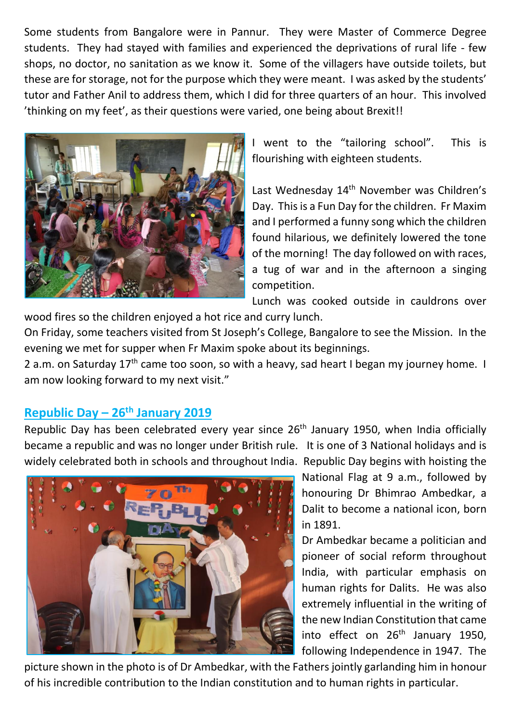Some students from Bangalore were in Pannur. They were Master of Commerce Degree students. They had stayed with families and experienced the deprivations of rural life - few shops, no doctor, no sanitation as we know it. Some of the villagers have outside toilets, but these are for storage, not for the purpose which they were meant. I was asked by the students' tutor and Father Anil to address them, which I did for three quarters of an hour. This involved 'thinking on my feet', as their questions were varied, one being about Brexit!!



I went to the "tailoring school". This is flourishing with eighteen students.

Last Wednesday 14<sup>th</sup> November was Children's Day. This is a Fun Day for the children. Fr Maxim and I performed a funny song which the children found hilarious, we definitely lowered the tone of the morning! The day followed on with races, a tug of war and in the afternoon a singing competition.

Lunch was cooked outside in cauldrons over

wood fires so the children enjoyed a hot rice and curry lunch.

On Friday, some teachers visited from St Joseph's College, Bangalore to see the Mission. In the evening we met for supper when Fr Maxim spoke about its beginnings.

2 a.m. on Saturday 17<sup>th</sup> came too soon, so with a heavy, sad heart I began my journey home. I am now looking forward to my next visit."

### **Republic Day – 26th January 2019**

Republic Day has been celebrated every year since 26<sup>th</sup> January 1950, when India officially became a republic and was no longer under British rule. It is one of 3 National holidays and is widely celebrated both in schools and throughout India. Republic Day begins with hoisting the



National Flag at 9 a.m., followed by honouring Dr Bhimrao Ambedkar, a Dalit to become a national icon, born in 1891.

Dr Ambedkar became a politician and pioneer of social reform throughout India, with particular emphasis on human rights for Dalits. He was also extremely influential in the writing of the new Indian Constitution that came into effect on  $26<sup>th</sup>$  January 1950, following Independence in 1947. The

picture shown in the photo is of Dr Ambedkar, with the Fathers jointly garlanding him in honour of his incredible contribution to the Indian constitution and to human rights in particular.